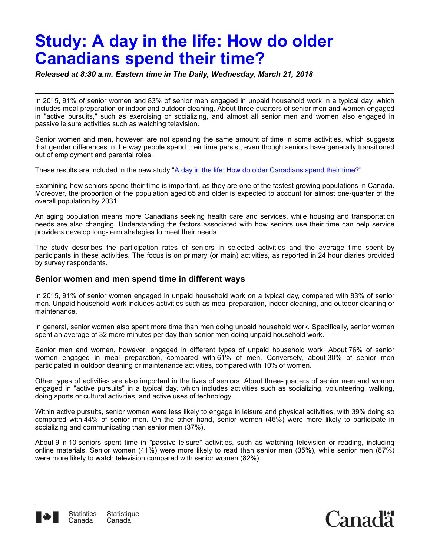# **Study: A day in the life: How do older Canadians spend their time?**

*Released at 8:30 a.m. Eastern time in The Daily, Wednesday, March 21, 2018*

In 2015, 91% of senior women and 83% of senior men engaged in unpaid household work in a typical day, which includes meal preparation or indoor and outdoor cleaning. About three-quarters of senior men and women engaged in "active pursuits," such as exercising or socializing, and almost all senior men and women also engaged in passive leisure activities such as watching television.

Senior women and men, however, are not spending the same amount of time in some activities, which suggests that gender differences in the way people spend their time persist, even though seniors have generally transitioned out of employment and parental roles.

These results are included in the new study"[A day in the life: How do older Canadians spend their time?"](http://www.statcan.gc.ca/bsolc/olc-cel/olc-cel?catno=75-006-X201800154947&lang=eng)

Examining how seniors spend their time is important, as they are one of the fastest growing populations in Canada. Moreover, the proportion of the population aged 65 and older is expected to account for almost one-quarter of the overall population by 2031.

An aging population means more Canadians seeking health care and services, while housing and transportation needs are also changing. Understanding the factors associated with how seniors use their time can help service providers develop long-term strategies to meet their needs.

The study describes the participation rates of seniors in selected activities and the average time spent by participants in these activities. The focus is on primary (or main) activities, as reported in 24 hour diaries provided by survey respondents.

# **Senior women and men spend time in different ways**

In 2015, 91% of senior women engaged in unpaid household work on a typical day, compared with 83% of senior men. Unpaid household work includes activities such as meal preparation, indoor cleaning, and outdoor cleaning or maintenance.

In general, senior women also spent more time than men doing unpaid household work. Specifically, senior women spent an average of 32 more minutes per day than senior men doing unpaid household work.

Senior men and women, however, engaged in different types of unpaid household work. About 76% of senior women engaged in meal preparation, compared with 61% of men. Conversely, about 30% of senior men participated in outdoor cleaning or maintenance activities, compared with 10% of women.

Other types of activities are also important in the lives of seniors. About three-quarters of senior men and women engaged in "active pursuits" in a typical day, which includes activities such as socializing, volunteering, walking, doing sports or cultural activities, and active uses of technology.

Within active pursuits, senior women were less likely to engage in leisure and physical activities, with 39% doing so compared with 44% of senior men. On the other hand, senior women (46%) were more likely to participate in socializing and communicating than senior men (37%).

About 9 in 10 seniors spent time in "passive leisure" activities, such as watching television or reading, including online materials. Senior women (41%) were more likely to read than senior men (35%), while senior men (87%) were more likely to watch television compared with senior women (82%).



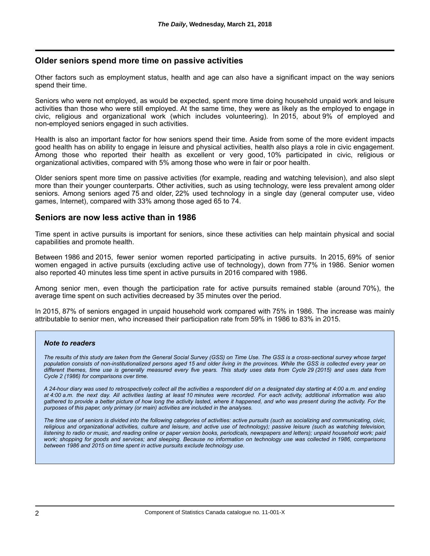## **Older seniors spend more time on passive activities**

Other factors such as employment status, health and age can also have a significant impact on the way seniors spend their time.

Seniors who were not employed, as would be expected, spent more time doing household unpaid work and leisure activities than those who were still employed. At the same time, they were as likely as the employed to engage in civic, religious and organizational work (which includes volunteering). In 2015, about 9% of employed and non-employed seniors engaged in such activities.

Health is also an important factor for how seniors spend their time. Aside from some of the more evident impacts good health has on ability to engage in leisure and physical activities, health also plays a role in civic engagement. Among those who reported their health as excellent or very good, 10% participated in civic, religious or organizational activities, compared with 5% among those who were in fair or poor health.

Older seniors spent more time on passive activities (for example, reading and watching television), and also slept more than their younger counterparts. Other activities, such as using technology, were less prevalent among older seniors. Among seniors aged 75 and older, 22% used technology in a single day (general computer use, video games, Internet), compared with 33% among those aged 65 to 74.

### **Seniors are now less active than in 1986**

Time spent in active pursuits is important for seniors, since these activities can help maintain physical and social capabilities and promote health.

Between 1986 and 2015, fewer senior women reported participating in active pursuits. In 2015, 69% of senior women engaged in active pursuits (excluding active use of technology), down from 77% in 1986. Senior women also reported 40 minutes less time spent in active pursuits in 2016 compared with 1986.

Among senior men, even though the participation rate for active pursuits remained stable (around 70%), the average time spent on such activities decreased by 35 minutes over the period.

In 2015, 87% of seniors engaged in unpaid household work compared with 75% in 1986. The increase was mainly attributable to senior men, who increased their participation rate from 59% in 1986 to 83% in 2015.

#### *Note to readers*

*The results of this study are taken from the General Social Survey (GSS) on Time Use. The GSS is a cross-sectional survey whose target population consists of non-institutionalized persons aged 15 and older living in the provinces. While the GSS is collected every year on different themes, time use is generally measured every five years. This study uses data from Cycle 29 (2015) and uses data from Cycle 2 (1986) for comparisons over time.*

*A 24-hour diary was used to retrospectively collect all the activities a respondent did on a designated day starting at 4:00 a.m. and ending at 4:00 a.m. the next day. All activities lasting at least 10 minutes were recorded. For each activity, additional information was also gathered to provide a better picture of how long the activity lasted, where it happened, and who was present during the activity. For the purposes of this paper, only primary (or main) activities are included in the analyses.*

*The time use of seniors is divided into the following categories of activities: active pursuits (such as socializing and communicating, civic, religious and organizational activities, culture and leisure, and active use of technology); passive leisure (such as watching television, listening to radio or music, and reading online or paper version books, periodicals, newspapers and letters); unpaid household work; paid work; shopping for goods and services; and sleeping. Because no information on technology use was collected in 1986, comparisons between 1986 and 2015 on time spent in active pursuits exclude technology use.*